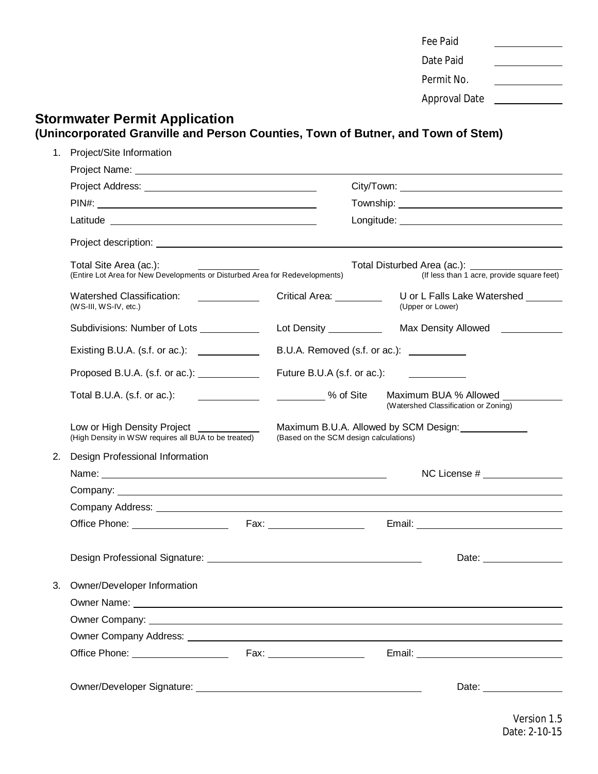| Fee Paid             |  |
|----------------------|--|
| Date Paid            |  |
| Permit No.           |  |
| <b>Approval Date</b> |  |

# **Stormwater Permit Application (Unincorporated Granville and Person Counties, Town of Butner, and Town of Stem)**

| 1. | Project/Site Information                                                                                                                                                                                                            |                                                                                 |                  |                                                                                         |
|----|-------------------------------------------------------------------------------------------------------------------------------------------------------------------------------------------------------------------------------------|---------------------------------------------------------------------------------|------------------|-----------------------------------------------------------------------------------------|
|    |                                                                                                                                                                                                                                     |                                                                                 |                  |                                                                                         |
|    |                                                                                                                                                                                                                                     |                                                                                 |                  |                                                                                         |
|    |                                                                                                                                                                                                                                     |                                                                                 |                  |                                                                                         |
|    |                                                                                                                                                                                                                                     |                                                                                 |                  |                                                                                         |
|    |                                                                                                                                                                                                                                     |                                                                                 |                  |                                                                                         |
|    | Total Site Area (ac.):<br>(Entire Lot Area for New Developments or Disturbed Area for Redevelopments)                                                                                                                               |                                                                                 |                  | Total Disturbed Area (ac.): _____________<br>(If less than 1 acre, provide square feet) |
|    | Watershed Classification:<br>$\mathcal{L}_{\text{max}}$ and $\mathcal{L}_{\text{max}}$<br>$(WS-III, WS-IV, etc.)$                                                                                                                   | Critical Area: _________                                                        | (Upper or Lower) | U or L Falls Lake Watershed ______                                                      |
|    | Subdivisions: Number of Lots ____________                                                                                                                                                                                           | Lot Density ___________                                                         |                  | Max Density Allowed                                                                     |
|    | Existing B.U.A. (s.f. or ac.): $\frac{1}{2}$                                                                                                                                                                                        | B.U.A. Removed (s.f. or ac.): ___________                                       |                  |                                                                                         |
|    | Proposed B.U.A. (s.f. or ac.): <u>______________</u>                                                                                                                                                                                | Future B.U.A (s.f. or ac.):                                                     |                  |                                                                                         |
|    | Total B.U.A. (s.f. or ac.):<br><u> 1980 - Andrea Station Barbara, politik e</u> ta eta aldera                                                                                                                                       | % of Site                                                                       |                  | Maximum BUA % Allowed<br>(Watershed Classification or Zoning)                           |
|    | Low or High Density Project ____________<br>(High Density in WSW requires all BUA to be treated)                                                                                                                                    | Maximum B.U.A. Allowed by SCM Design:<br>(Based on the SCM design calculations) |                  |                                                                                         |
| 2. | Design Professional Information                                                                                                                                                                                                     |                                                                                 |                  |                                                                                         |
|    |                                                                                                                                                                                                                                     |                                                                                 |                  | $NC$ License $#$ $\qquad$                                                               |
|    |                                                                                                                                                                                                                                     |                                                                                 |                  |                                                                                         |
|    |                                                                                                                                                                                                                                     |                                                                                 |                  |                                                                                         |
|    |                                                                                                                                                                                                                                     |                                                                                 |                  |                                                                                         |
|    |                                                                                                                                                                                                                                     |                                                                                 |                  | Date: ___________                                                                       |
| 3. | Owner/Developer Information                                                                                                                                                                                                         |                                                                                 |                  |                                                                                         |
|    | Owner Name: <u>Queen Communication</u> Communication Communication Communication Communication Communication Communication Communication Communication Communication Communication Communication Communication Communication Commun |                                                                                 |                  |                                                                                         |
|    | Owner Company: Note that the set of the set of the set of the set of the set of the set of the set of the set of the set of the set of the set of the set of the set of the set of the set of the set of the set of the set of      |                                                                                 |                  |                                                                                         |
|    |                                                                                                                                                                                                                                     |                                                                                 |                  |                                                                                         |
|    |                                                                                                                                                                                                                                     |                                                                                 |                  |                                                                                         |
|    |                                                                                                                                                                                                                                     |                                                                                 |                  |                                                                                         |
|    |                                                                                                                                                                                                                                     |                                                                                 |                  |                                                                                         |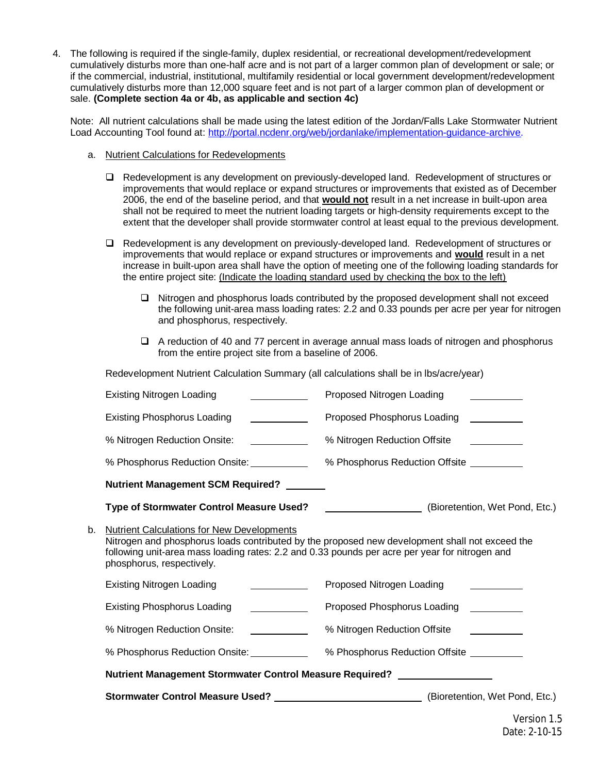4. The following is required if the single-family, duplex residential, or recreational development/redevelopment cumulatively disturbs more than one-half acre and is not part of a larger common plan of development or sale; or if the commercial, industrial, institutional, multifamily residential or local government development/redevelopment cumulatively disturbs more than 12,000 square feet and is not part of a larger common plan of development or sale. **(Complete section 4a or 4b, as applicable and section 4c)**

Note: All nutrient calculations shall be made using the latest edition of the Jordan/Falls Lake Stormwater Nutrient Load Accounting Tool found at: http://portal.ncdenr.org/web/jordanlake/implementation-guidance-archive.

- a. Nutrient Calculations for Redevelopments
	- $\Box$  Redevelopment is any development on previously-developed land. Redevelopment of structures or improvements that would replace or expand structures or improvements that existed as of December 2006, the end of the baseline period, and that **would not** result in a net increase in built-upon area shall not be required to meet the nutrient loading targets or high-density requirements except to the extent that the developer shall provide stormwater control at least equal to the previous development.
	- $\Box$  Redevelopment is any development on previously-developed land. Redevelopment of structures or improvements that would replace or expand structures or improvements and **would** result in a net increase in built-upon area shall have the option of meeting one of the following loading standards for the entire project site: (Indicate the loading standard used by checking the box to the left)
		- $\Box$  Nitrogen and phosphorus loads contributed by the proposed development shall not exceed the following unit-area mass loading rates: 2.2 and 0.33 pounds per acre per year for nitrogen and phosphorus, respectively.
		- $\Box$  A reduction of 40 and 77 percent in average annual mass loads of nitrogen and phosphorus from the entire project site from a baseline of 2006.

Redevelopment Nutrient Calculation Summary (all calculations shall be in lbs/acre/year)

|    | <b>Existing Nitrogen Loading</b>                                                                                                                                                                                                                                                   | Proposed Nitrogen Loading                                                                         |  |  |  |
|----|------------------------------------------------------------------------------------------------------------------------------------------------------------------------------------------------------------------------------------------------------------------------------------|---------------------------------------------------------------------------------------------------|--|--|--|
|    | <b>Existing Phosphorus Loading</b>                                                                                                                                                                                                                                                 | Proposed Phosphorus Loading                                                                       |  |  |  |
|    | % Nitrogen Reduction Onsite:                                                                                                                                                                                                                                                       | % Nitrogen Reduction Offsite<br>$\frac{1}{\sqrt{2}}$ , and $\frac{1}{\sqrt{2}}$                   |  |  |  |
|    |                                                                                                                                                                                                                                                                                    | % Phosphorus Reduction Offsite <b>Construents</b>                                                 |  |  |  |
|    | Nutrient Management SCM Required?                                                                                                                                                                                                                                                  |                                                                                                   |  |  |  |
|    | Type of Stormwater Control Measure Used?                                                                                                                                                                                                                                           | (Bioretention, Wet Pond, Etc.)                                                                    |  |  |  |
| b. | <b>Nutrient Calculations for New Developments</b><br>Nitrogen and phosphorus loads contributed by the proposed new development shall not exceed the<br>following unit-area mass loading rates: 2.2 and 0.33 pounds per acre per year for nitrogen and<br>phosphorus, respectively. |                                                                                                   |  |  |  |
|    | <u>and the state of the state of the state of the state of the state of the state of the state of the state of the state of the state of the state of the state of the state of the state of the state of the state of the state</u><br><b>Existing Nitrogen Loading</b>           | Proposed Nitrogen Loading                                                                         |  |  |  |
|    | <b>Existing Phosphorus Loading</b>                                                                                                                                                                                                                                                 | Proposed Phosphorus Loading                                                                       |  |  |  |
|    | % Nitrogen Reduction Onsite:                                                                                                                                                                                                                                                       | % Nitrogen Reduction Offsite<br><u> El antiga de la conte</u>                                     |  |  |  |
|    | % Phosphorus Reduction Onsite: _______                                                                                                                                                                                                                                             | % Phosphorus Reduction Offsite ___________                                                        |  |  |  |
|    | Nutrient Management Stormwater Control Measure Required? _________________                                                                                                                                                                                                         |                                                                                                   |  |  |  |
|    |                                                                                                                                                                                                                                                                                    | Stormwater Control Measure Used? __________________________________(Bioretention, Wet Pond, Etc.) |  |  |  |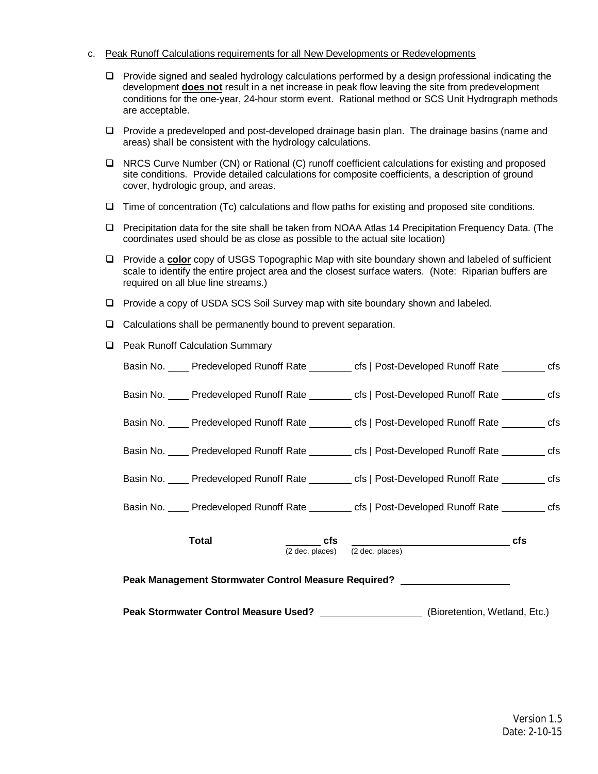- c. Peak Runoff Calculations requirements for all New Developments or Redevelopments
	- $\Box$  Provide signed and sealed hydrology calculations performed by a design professional indicating the development **does not** result in a net increase in peak flow leaving the site from predevelopment conditions for the one-year, 24-hour storm event. Rational method or SCS Unit Hydrograph methods are acceptable.
	- $\Box$  Provide a predeveloped and post-developed drainage basin plan. The drainage basins (name and areas) shall be consistent with the hydrology calculations.
	- □ NRCS Curve Number (CN) or Rational (C) runoff coefficient calculations for existing and proposed site conditions. Provide detailed calculations for composite coefficients, a description of ground cover, hydrologic group, and areas.
	- $\Box$  Time of concentration (Tc) calculations and flow paths for existing and proposed site conditions.
	- $\Box$  Precipitation data for the site shall be taken from NOAA Atlas 14 Precipitation Frequency Data. (The coordinates used should be as close as possible to the actual site location)
	- **D** Provide a **color** copy of USGS Topographic Map with site boundary shown and labeled of sufficient scale to identify the entire project area and the closest surface waters. (Note: Riparian buffers are required on all blue line streams.)
	- $\Box$  Provide a copy of USDA SCS Soil Survey map with site boundary shown and labeled.
	- $\Box$  Calculations shall be permanently bound to prevent separation.
	- **Q** Peak Runoff Calculation Summary

| Peak Stormwater Control Measure Used? ____________________(Bioretention, Wetland, Etc.)                   |                                                                                                  |  |  |                                                                                       |  |  |
|-----------------------------------------------------------------------------------------------------------|--------------------------------------------------------------------------------------------------|--|--|---------------------------------------------------------------------------------------|--|--|
| Peak Management Stormwater Control Measure Required? Neak Management Stormwater Control Measure Required? |                                                                                                  |  |  |                                                                                       |  |  |
|                                                                                                           | Total                                                                                            |  |  | $\frac{\csc}{{\csc} \cdot {\csc}}$ $\csc}$ $\frac{\csc}{{\csc} \cdot {\csc}}$ $\csc}$ |  |  |
|                                                                                                           | Basin No. ____ Predeveloped Runoff Rate ________ cfs   Post-Developed Runoff Rate _______ cfs    |  |  |                                                                                       |  |  |
|                                                                                                           | Basin No. ____ Predeveloped Runoff Rate ________ cfs   Post-Developed Runoff Rate _______ cfs    |  |  |                                                                                       |  |  |
|                                                                                                           | Basin No. ____ Predeveloped Runoff Rate ________ cfs   Post-Developed Runoff Rate _______ cfs    |  |  |                                                                                       |  |  |
|                                                                                                           | Basin No. ____ Predeveloped Runoff Rate ________ cfs   Post-Developed Runoff Rate _______ cfs    |  |  |                                                                                       |  |  |
|                                                                                                           | Basin No. _____ Predeveloped Runoff Rate _________ cfs   Post-Developed Runoff Rate ________ cfs |  |  |                                                                                       |  |  |
|                                                                                                           | Basin No. _____ Predeveloped Runoff Rate _________ cfs   Post-Developed Runoff Rate ________ cfs |  |  |                                                                                       |  |  |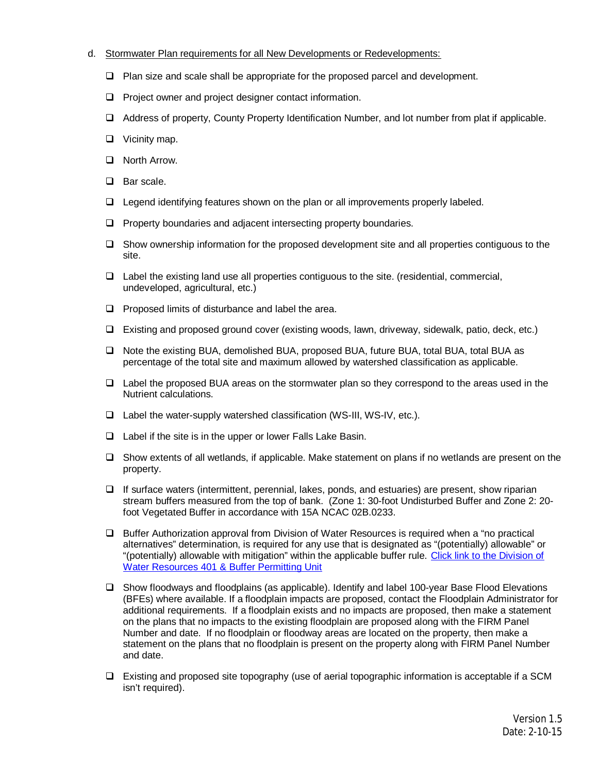## d. Stormwater Plan requirements for all New Developments or Redevelopments:

- $\Box$  Plan size and scale shall be appropriate for the proposed parcel and development.
- $\Box$  Project owner and project designer contact information.
- □ Address of property, County Property Identification Number, and lot number from plat if applicable.
- $\Box$  Vicinity map.
- $\Box$  North Arrow.
- $\Box$  Bar scale.
- $\Box$  Legend identifying features shown on the plan or all improvements properly labeled.
- $\Box$  Property boundaries and adjacent intersecting property boundaries.
- $\Box$  Show ownership information for the proposed development site and all properties contiguous to the site.
- $\Box$  Label the existing land use all properties contiguous to the site. (residential, commercial, undeveloped, agricultural, etc.)
- $\Box$  Proposed limits of disturbance and label the area.
- $\Box$  Existing and proposed ground cover (existing woods, lawn, driveway, sidewalk, patio, deck, etc.)
- □ Note the existing BUA, demolished BUA, proposed BUA, future BUA, total BUA, total BUA as percentage of the total site and maximum allowed by watershed classification as applicable.
- $\Box$  Label the proposed BUA areas on the stormwater plan so they correspond to the areas used in the Nutrient calculations.
- $\Box$  Label the water-supply watershed classification (WS-III, WS-IV, etc.).
- $\Box$  Label if the site is in the upper or lower Falls Lake Basin.
- $\Box$  Show extents of all wetlands, if applicable. Make statement on plans if no wetlands are present on the property.
- $\Box$  If surface waters (intermittent, perennial, lakes, ponds, and estuaries) are present, show riparian stream buffers measured from the top of bank. (Zone 1: 30-foot Undisturbed Buffer and Zone 2: 20 foot Vegetated Buffer in accordance with 15A NCAC 02B.0233.
- $\Box$  Buffer Authorization approval from Division of Water Resources is required when a "no practical" alternatives" determination, is required for any use that is designated as "(potentially) allowable" or "(potentially) allowable with mitigation" within the applicable buffer rule. Click link to the Division of Water Resources 401 & Buffer Permitting Unit
- □ Show floodways and floodplains (as applicable). Identify and label 100-year Base Flood Elevations (BFEs) where available. If a floodplain impacts are proposed, contact the Floodplain Administrator for additional requirements. If a floodplain exists and no impacts are proposed, then make a statement on the plans that no impacts to the existing floodplain are proposed along with the FIRM Panel Number and date. If no floodplain or floodway areas are located on the property, then make a statement on the plans that no floodplain is present on the property along with FIRM Panel Number and date.
- $\Box$  Existing and proposed site topography (use of aerial topographic information is acceptable if a SCM isn't required).

Version 1.5 Date: 2-10-15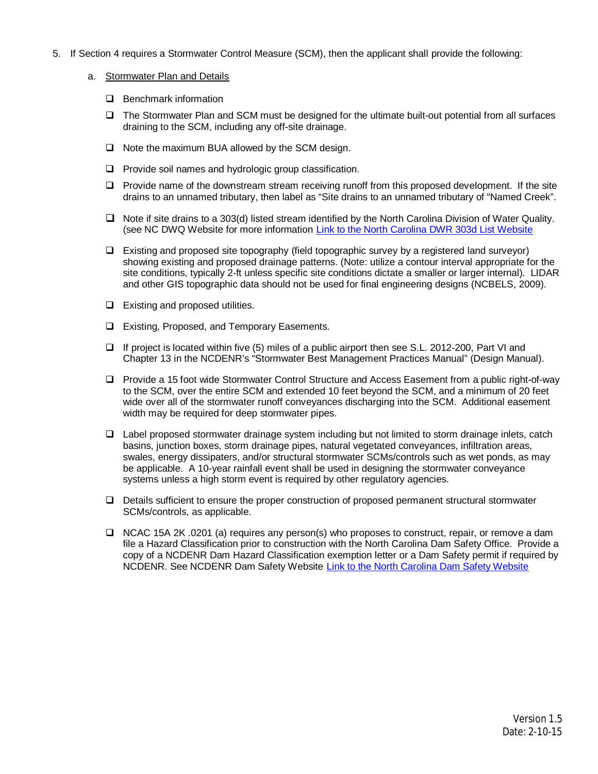- 5. If Section 4 requires a Stormwater Control Measure (SCM), then the applicant shall provide the following:
	- a. Stormwater Plan and Details
		- $\Box$  Benchmark information
		- $\Box$  The Stormwater Plan and SCM must be designed for the ultimate built-out potential from all surfaces draining to the SCM, including any off-site drainage.
		- $\Box$  Note the maximum BUA allowed by the SCM design.
		- $\Box$  Provide soil names and hydrologic group classification.
		- $\Box$  Provide name of the downstream stream receiving runoff from this proposed development. If the site drains to an unnamed tributary, then label as "Site drains to an unnamed tributary of "Named Creek".
		- $\Box$  Note if site drains to a 303(d) listed stream identified by the North Carolina Division of Water Quality. (see NC DWQ Website for more information Link to the North Carolina DWR 303d List Website
		- $\Box$  Existing and proposed site topography (field topographic survey by a registered land surveyor) showing existing and proposed drainage patterns. (Note: utilize a contour interval appropriate for the site conditions, typically 2-ft unless specific site conditions dictate a smaller or larger internal). LIDAR and other GIS topographic data should not be used for final engineering designs (NCBELS, 2009).
		- $\Box$  Existing and proposed utilities.
		- $\Box$  Existing, Proposed, and Temporary Easements.
		- $\Box$  If project is located within five (5) miles of a public airport then see S.L. 2012-200, Part VI and Chapter 13 in the NCDENR's "Stormwater Best Management Practices Manual" (Design Manual).
		- $\Box$  Provide a 15 foot wide Stormwater Control Structure and Access Easement from a public right-of-way to the SCM, over the entire SCM and extended 10 feet beyond the SCM, and a minimum of 20 feet wide over all of the stormwater runoff conveyances discharging into the SCM. Additional easement width may be required for deep stormwater pipes.
		- $\Box$  Label proposed stormwater drainage system including but not limited to storm drainage inlets, catch basins, junction boxes, storm drainage pipes, natural vegetated conveyances, infiltration areas, swales, energy dissipaters, and/or structural stormwater SCMs/controls such as wet ponds, as may be applicable. A 10-year rainfall event shall be used in designing the stormwater conveyance systems unless a high storm event is required by other regulatory agencies.
		- $\Box$  Details sufficient to ensure the proper construction of proposed permanent structural stormwater SCMs/controls, as applicable.
		- □ NCAC 15A 2K .0201 (a) requires any person(s) who proposes to construct, repair, or remove a dam file a Hazard Classification prior to construction with the North Carolina Dam Safety Office. Provide a copy of a NCDENR Dam Hazard Classification exemption letter or a Dam Safety permit if required by NCDENR. See NCDENR Dam Safety Website Link to the North Carolina Dam Safety Website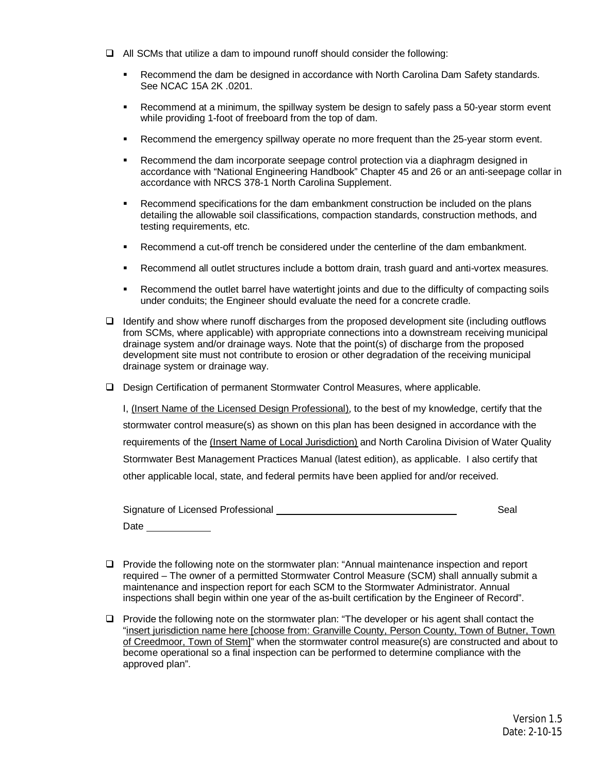- $\Box$  All SCMs that utilize a dam to impound runoff should consider the following:
	- **Recommend the dam be designed in accordance with North Carolina Dam Safety standards.** See NCAC 15A 2K .0201.
	- **■** Recommend at a minimum, the spillway system be design to safely pass a 50-year storm event while providing 1-foot of freeboard from the top of dam.
	- **Recommend the emergency spillway operate no more frequent than the 25-year storm event.**
	- Recommend the dam incorporate seepage control protection via a diaphragm designed in accordance with "National Engineering Handbook" Chapter 45 and 26 or an anti-seepage collar in accordance with NRCS 378-1 North Carolina Supplement.
	- Recommend specifications for the dam embankment construction be included on the plans detailing the allowable soil classifications, compaction standards, construction methods, and testing requirements, etc.
	- Recommend a cut-off trench be considered under the centerline of the dam embankment.
	- Recommend all outlet structures include a bottom drain, trash guard and anti-vortex measures.
	- Recommend the outlet barrel have watertight joints and due to the difficulty of compacting soils under conduits; the Engineer should evaluate the need for a concrete cradle.
- $\Box$  Identify and show where runoff discharges from the proposed development site (including outflows from SCMs, where applicable) with appropriate connections into a downstream receiving municipal drainage system and/or drainage ways. Note that the point(s) of discharge from the proposed development site must not contribute to erosion or other degradation of the receiving municipal drainage system or drainage way.
- $\Box$  Design Certification of permanent Stormwater Control Measures, where applicable.

I, (Insert Name of the Licensed Design Professional), to the best of my knowledge, certify that the stormwater control measure(s) as shown on this plan has been designed in accordance with the requirements of the (Insert Name of Local Jurisdiction) and North Carolina Division of Water Quality Stormwater Best Management Practices Manual (latest edition), as applicable. I also certify that other applicable local, state, and federal permits have been applied for and/or received.

| Signature of Licensed Professional |  | Seal |  |
|------------------------------------|--|------|--|
| Date                               |  |      |  |

- $\Box$  Provide the following note on the stormwater plan: "Annual maintenance inspection and report required – The owner of a permitted Stormwater Control Measure (SCM) shall annually submit a maintenance and inspection report for each SCM to the Stormwater Administrator. Annual inspections shall begin within one year of the as-built certification by the Engineer of Record".
- $\Box$  Provide the following note on the stormwater plan: "The developer or his agent shall contact the "insert jurisdiction name here [choose from: Granville County, Person County, Town of Butner, Town of Creedmoor, Town of Stem]" when the stormwater control measure(s) are constructed and about to become operational so a final inspection can be performed to determine compliance with the approved plan".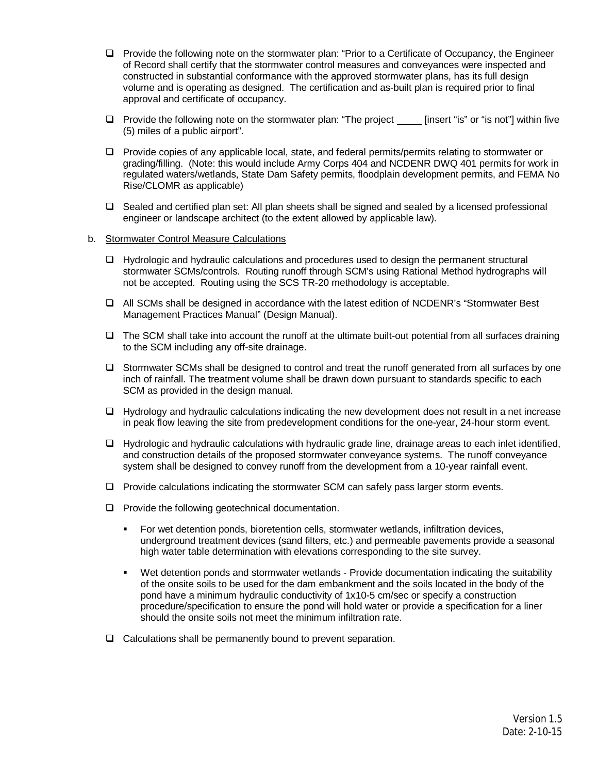- $\Box$  Provide the following note on the stormwater plan: "Prior to a Certificate of Occupancy, the Engineer of Record shall certify that the stormwater control measures and conveyances were inspected and constructed in substantial conformance with the approved stormwater plans, has its full design volume and is operating as designed. The certification and as-built plan is required prior to final approval and certificate of occupancy.
- $\Box$  Provide the following note on the stormwater plan: "The project [insert "is" or "is not"] within five (5) miles of a public airport".
- $\Box$  Provide copies of any applicable local, state, and federal permits/permits relating to stormwater or grading/filling. (Note: this would include Army Corps 404 and NCDENR DWQ 401 permits for work in regulated waters/wetlands, State Dam Safety permits, floodplain development permits, and FEMA No Rise/CLOMR as applicable)
- $\Box$  Sealed and certified plan set: All plan sheets shall be signed and sealed by a licensed professional engineer or landscape architect (to the extent allowed by applicable law).

### b. Stormwater Control Measure Calculations

- $\Box$  Hydrologic and hydraulic calculations and procedures used to design the permanent structural stormwater SCMs/controls. Routing runoff through SCM's using Rational Method hydrographs will not be accepted. Routing using the SCS TR-20 methodology is acceptable.
- $\Box$  All SCMs shall be designed in accordance with the latest edition of NCDENR's "Stormwater Best Management Practices Manual" (Design Manual).
- $\Box$  The SCM shall take into account the runoff at the ultimate built-out potential from all surfaces draining to the SCM including any off-site drainage.
- $\Box$  Stormwater SCMs shall be designed to control and treat the runoff generated from all surfaces by one inch of rainfall. The treatment volume shall be drawn down pursuant to standards specific to each SCM as provided in the design manual.
- $\Box$  Hydrology and hydraulic calculations indicating the new development does not result in a net increase in peak flow leaving the site from predevelopment conditions for the one-year, 24-hour storm event.
- □ Hydrologic and hydraulic calculations with hydraulic grade line, drainage areas to each inlet identified, and construction details of the proposed stormwater conveyance systems. The runoff conveyance system shall be designed to convey runoff from the development from a 10-year rainfall event.
- $\Box$  Provide calculations indicating the stormwater SCM can safely pass larger storm events.
- $\Box$  Provide the following geotechnical documentation.
	- § For wet detention ponds, bioretention cells, stormwater wetlands, infiltration devices, underground treatment devices (sand filters, etc.) and permeable pavements provide a seasonal high water table determination with elevations corresponding to the site survey.
	- Wet detention ponds and stormwater wetlands Provide documentation indicating the suitability of the onsite soils to be used for the dam embankment and the soils located in the body of the pond have a minimum hydraulic conductivity of 1x10-5 cm/sec or specify a construction procedure/specification to ensure the pond will hold water or provide a specification for a liner should the onsite soils not meet the minimum infiltration rate.
- $\Box$  Calculations shall be permanently bound to prevent separation.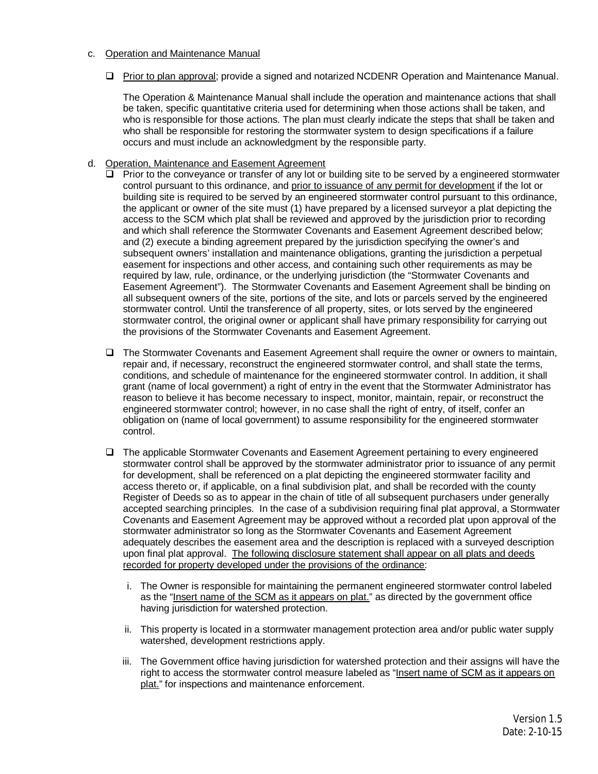## c. Operation and Maintenance Manual

 $\Box$  Prior to plan approval; provide a signed and notarized NCDENR Operation and Maintenance Manual.

The Operation & Maintenance Manual shall include the operation and maintenance actions that shall be taken, specific quantitative criteria used for determining when those actions shall be taken, and who is responsible for those actions. The plan must clearly indicate the steps that shall be taken and who shall be responsible for restoring the stormwater system to design specifications if a failure occurs and must include an acknowledgment by the responsible party.

- d. Operation, Maintenance and Easement Agreement
	- $\Box$  Prior to the conveyance or transfer of any lot or building site to be served by a engineered stormwater control pursuant to this ordinance, and prior to issuance of any permit for development if the lot or building site is required to be served by an engineered stormwater control pursuant to this ordinance, the applicant or owner of the site must (1) have prepared by a licensed surveyor a plat depicting the access to the SCM which plat shall be reviewed and approved by the jurisdiction prior to recording and which shall reference the Stormwater Covenants and Easement Agreement described below; and (2) execute a binding agreement prepared by the jurisdiction specifying the owner's and subsequent owners' installation and maintenance obligations, granting the jurisdiction a perpetual easement for inspections and other access, and containing such other requirements as may be required by law, rule, ordinance, or the underlying jurisdiction (the "Stormwater Covenants and Easement Agreement"). The Stormwater Covenants and Easement Agreement shall be binding on all subsequent owners of the site, portions of the site, and lots or parcels served by the engineered stormwater control. Until the transference of all property, sites, or lots served by the engineered stormwater control, the original owner or applicant shall have primary responsibility for carrying out the provisions of the Stormwater Covenants and Easement Agreement.
	- $\Box$  The Stormwater Covenants and Easement Agreement shall require the owner or owners to maintain, repair and, if necessary, reconstruct the engineered stormwater control, and shall state the terms, conditions, and schedule of maintenance for the engineered stormwater control. In addition, it shall grant (name of local government) a right of entry in the event that the Stormwater Administrator has reason to believe it has become necessary to inspect, monitor, maintain, repair, or reconstruct the engineered stormwater control; however, in no case shall the right of entry, of itself, confer an obligation on (name of local government) to assume responsibility for the engineered stormwater control.
	- $\Box$  The applicable Stormwater Covenants and Easement Agreement pertaining to every engineered stormwater control shall be approved by the stormwater administrator prior to issuance of any permit for development, shall be referenced on a plat depicting the engineered stormwater facility and access thereto or, if applicable, on a final subdivision plat, and shall be recorded with the county Register of Deeds so as to appear in the chain of title of all subsequent purchasers under generally accepted searching principles. In the case of a subdivision requiring final plat approval, a Stormwater Covenants and Easement Agreement may be approved without a recorded plat upon approval of the stormwater administrator so long as the Stormwater Covenants and Easement Agreement adequately describes the easement area and the description is replaced with a surveyed description upon final plat approval. The following disclosure statement shall appear on all plats and deeds recorded for property developed under the provisions of the ordinance:
		- i. The Owner is responsible for maintaining the permanent engineered stormwater control labeled as the "Insert name of the SCM as it appears on plat." as directed by the government office having jurisdiction for watershed protection.
		- ii. This property is located in a stormwater management protection area and/or public water supply watershed, development restrictions apply.
		- iii. The Government office having jurisdiction for watershed protection and their assigns will have the right to access the stormwater control measure labeled as "Insert name of SCM as it appears on plat." for inspections and maintenance enforcement.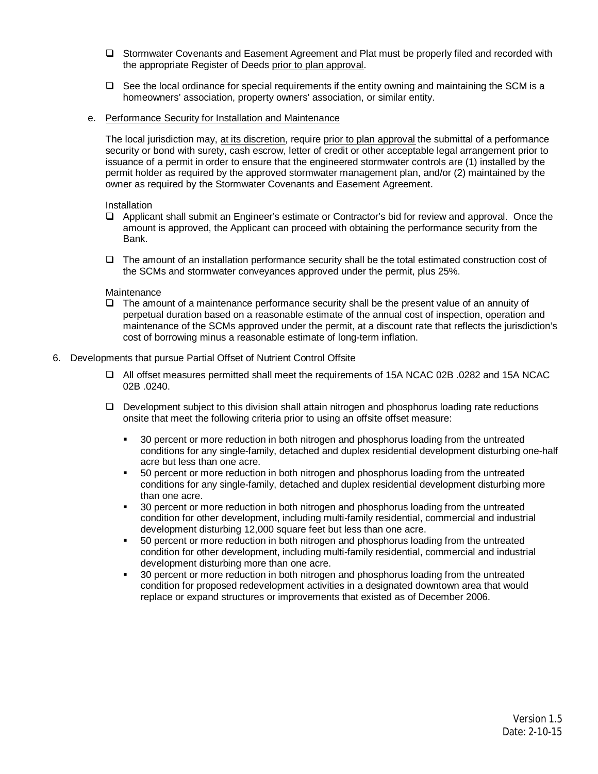- $\Box$  Stormwater Covenants and Easement Agreement and Plat must be properly filed and recorded with the appropriate Register of Deeds prior to plan approval.
- $\Box$  See the local ordinance for special requirements if the entity owning and maintaining the SCM is a homeowners' association, property owners' association, or similar entity.
- e. Performance Security for Installation and Maintenance

The local jurisdiction may, at its discretion, require prior to plan approval the submittal of a performance security or bond with surety, cash escrow, letter of credit or other acceptable legal arrangement prior to issuance of a permit in order to ensure that the engineered stormwater controls are (1) installed by the permit holder as required by the approved stormwater management plan, and/or (2) maintained by the owner as required by the Stormwater Covenants and Easement Agreement.

**Installation** 

- $\Box$  Applicant shall submit an Engineer's estimate or Contractor's bid for review and approval. Once the amount is approved, the Applicant can proceed with obtaining the performance security from the Bank.
- $\Box$  The amount of an installation performance security shall be the total estimated construction cost of the SCMs and stormwater conveyances approved under the permit, plus 25%.

#### Maintenance

 $\Box$  The amount of a maintenance performance security shall be the present value of an annuity of perpetual duration based on a reasonable estimate of the annual cost of inspection, operation and maintenance of the SCMs approved under the permit, at a discount rate that reflects the jurisdiction's cost of borrowing minus a reasonable estimate of long-term inflation.

#### 6. Developments that pursue Partial Offset of Nutrient Control Offsite

- □ All offset measures permitted shall meet the requirements of 15A NCAC 02B .0282 and 15A NCAC 02B .0240.
- $\Box$  Development subject to this division shall attain nitrogen and phosphorus loading rate reductions onsite that meet the following criteria prior to using an offsite offset measure:
	- § 30 percent or more reduction in both nitrogen and phosphorus loading from the untreated conditions for any single-family, detached and duplex residential development disturbing one-half acre but less than one acre.
	- § 50 percent or more reduction in both nitrogen and phosphorus loading from the untreated conditions for any single-family, detached and duplex residential development disturbing more than one acre.
	- § 30 percent or more reduction in both nitrogen and phosphorus loading from the untreated condition for other development, including multi-family residential, commercial and industrial development disturbing 12,000 square feet but less than one acre.
	- § 50 percent or more reduction in both nitrogen and phosphorus loading from the untreated condition for other development, including multi-family residential, commercial and industrial development disturbing more than one acre.
	- § 30 percent or more reduction in both nitrogen and phosphorus loading from the untreated condition for proposed redevelopment activities in a designated downtown area that would replace or expand structures or improvements that existed as of December 2006.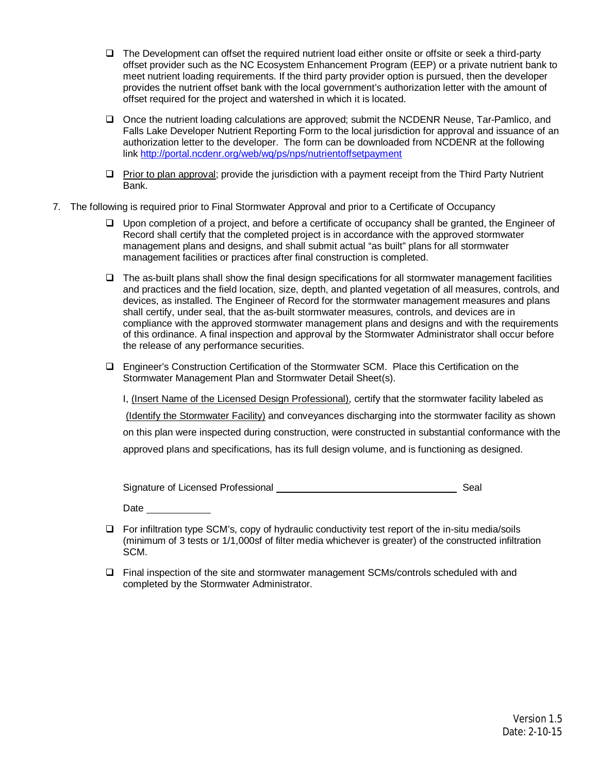- $\Box$  The Development can offset the required nutrient load either onsite or offsite or seek a third-party offset provider such as the NC Ecosystem Enhancement Program (EEP) or a private nutrient bank to meet nutrient loading requirements. If the third party provider option is pursued, then the developer provides the nutrient offset bank with the local government's authorization letter with the amount of offset required for the project and watershed in which it is located.
- $\Box$  Once the nutrient loading calculations are approved; submit the NCDENR Neuse, Tar-Pamlico, and Falls Lake Developer Nutrient Reporting Form to the local jurisdiction for approval and issuance of an authorization letter to the developer. The form can be downloaded from NCDENR at the following link http://portal.ncdenr.org/web/wq/ps/nps/nutrientoffsetpayment
- $\Box$  Prior to plan approval; provide the jurisdiction with a payment receipt from the Third Party Nutrient Bank.
- 7. The following is required prior to Final Stormwater Approval and prior to a Certificate of Occupancy
	- $\Box$  Upon completion of a project, and before a certificate of occupancy shall be granted, the Engineer of Record shall certify that the completed project is in accordance with the approved stormwater management plans and designs, and shall submit actual "as built" plans for all stormwater management facilities or practices after final construction is completed.
	- $\Box$  The as-built plans shall show the final design specifications for all stormwater management facilities and practices and the field location, size, depth, and planted vegetation of all measures, controls, and devices, as installed. The Engineer of Record for the stormwater management measures and plans shall certify, under seal, that the as-built stormwater measures, controls, and devices are in compliance with the approved stormwater management plans and designs and with the requirements of this ordinance. A final inspection and approval by the Stormwater Administrator shall occur before the release of any performance securities.
	- □ Engineer's Construction Certification of the Stormwater SCM. Place this Certification on the Stormwater Management Plan and Stormwater Detail Sheet(s).

I, (Insert Name of the Licensed Design Professional), certify that the stormwater facility labeled as (Identify the Stormwater Facility) and conveyances discharging into the stormwater facility as shown on this plan were inspected during construction, were constructed in substantial conformance with the approved plans and specifications, has its full design volume, and is functioning as designed.

Signature of Licensed Professional Sealth Control of License and Sealth Sealth Sealth Sealth Sealth Sealth Seal

Date the control of the control of the control of the control of the control of the control of the control of the control of the control of the control of the control of the control of the control of the control of the con

- $\Box$  For infiltration type SCM's, copy of hydraulic conductivity test report of the in-situ media/soils (minimum of 3 tests or 1/1,000sf of filter media whichever is greater) of the constructed infiltration SCM.
- $\Box$  Final inspection of the site and stormwater management SCMs/controls scheduled with and completed by the Stormwater Administrator.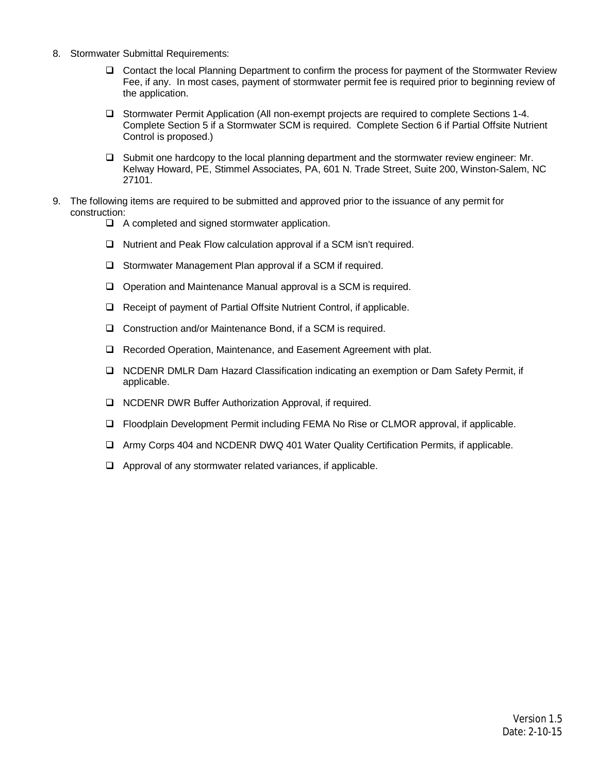- 8. Stormwater Submittal Requirements:
	- $\Box$  Contact the local Planning Department to confirm the process for payment of the Stormwater Review Fee, if any. In most cases, payment of stormwater permit fee is required prior to beginning review of the application.
	- □ Stormwater Permit Application (All non-exempt projects are required to complete Sections 1-4. Complete Section 5 if a Stormwater SCM is required. Complete Section 6 if Partial Offsite Nutrient Control is proposed.)
	- $\Box$  Submit one hardcopy to the local planning department and the stormwater review engineer: Mr. Kelway Howard, PE, Stimmel Associates, PA, 601 N. Trade Street, Suite 200, Winston-Salem, NC 27101.
- 9. The following items are required to be submitted and approved prior to the issuance of any permit for construction:
	- $\Box$  A completed and signed stormwater application.
	- $\Box$  Nutrient and Peak Flow calculation approval if a SCM isn't required.
	- $\Box$  Stormwater Management Plan approval if a SCM if required.
	- $\Box$  Operation and Maintenance Manual approval is a SCM is required.
	- □ Receipt of payment of Partial Offsite Nutrient Control, if applicable.
	- $\Box$  Construction and/or Maintenance Bond, if a SCM is required.
	- Q Recorded Operation, Maintenance, and Easement Agreement with plat.
	- □ NCDENR DMLR Dam Hazard Classification indicating an exemption or Dam Safety Permit, if applicable.
	- Q NCDENR DWR Buffer Authorization Approval, if required.
	- □ Floodplain Development Permit including FEMA No Rise or CLMOR approval, if applicable.
	- □ Army Corps 404 and NCDENR DWQ 401 Water Quality Certification Permits, if applicable.
	- $\Box$  Approval of any stormwater related variances, if applicable.